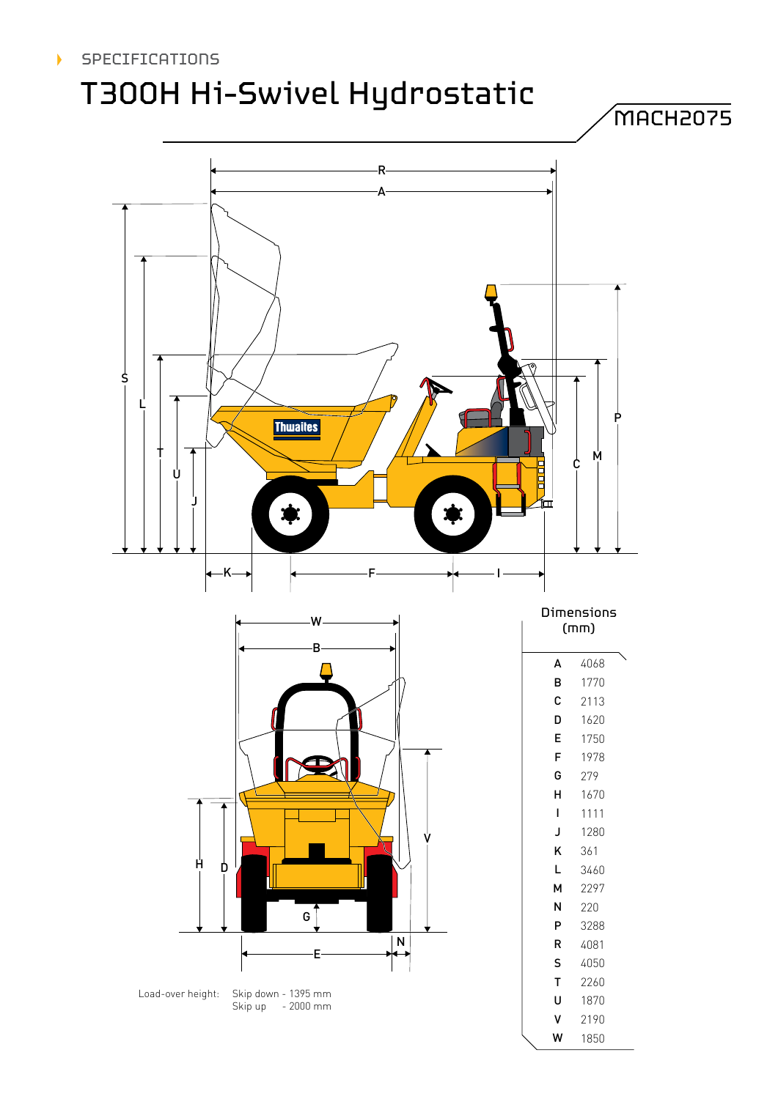#### $\blacktriangleright$ **SPECIFICATIONS**

# T300H Hi-Swivel Hydrostatic

MACH2075